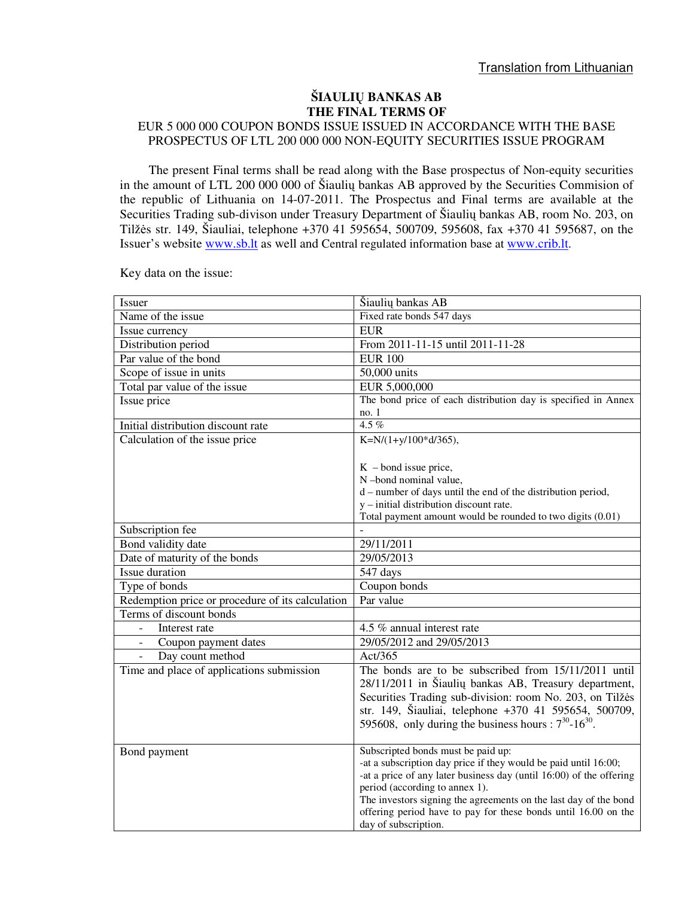## **ŠIAULI**Ų **BANKAS AB THE FINAL TERMS OF**

## EUR 5 000 000 COUPON BONDS ISSUE ISSUED IN ACCORDANCE WITH THE BASE PROSPECTUS OF LTL 200 000 000 NON-EQUITY SECURITIES ISSUE PROGRAM

The present Final terms shall be read along with the Base prospectus of Non-equity securities in the amount of LTL 200 000 000 of Šiaulių bankas AB approved by the Securities Commision of the republic of Lithuania on 14-07-2011. The Prospectus and Final terms are available at the Securities Trading sub-divison under Treasury Department of Šiaulių bankas AB, room No. 203, on Tilžės str. 149, Šiauliai, telephone +370 41 595654, 500709, 595608, fax +370 41 595687, on the Issuer's website www.sb.lt as well and Central regulated information base at www.crib.lt.

| Issuer                                           | Šiaulių bankas AB                                                     |  |
|--------------------------------------------------|-----------------------------------------------------------------------|--|
| Name of the issue                                | Fixed rate bonds 547 days                                             |  |
| Issue currency                                   | <b>EUR</b>                                                            |  |
| Distribution period                              | From 2011-11-15 until 2011-11-28                                      |  |
| Par value of the bond                            | <b>EUR 100</b>                                                        |  |
| Scope of issue in units                          | 50,000 units                                                          |  |
| Total par value of the issue                     | EUR 5,000,000                                                         |  |
| Issue price                                      | The bond price of each distribution day is specified in Annex         |  |
|                                                  | no.1                                                                  |  |
| Initial distribution discount rate               | $4.5\%$                                                               |  |
| Calculation of the issue price                   | K=N/ $(1+y/100*d/365)$ ,                                              |  |
|                                                  |                                                                       |  |
|                                                  | $K$ – bond issue price,                                               |  |
|                                                  | N-bond nominal value,                                                 |  |
|                                                  | d – number of days until the end of the distribution period,          |  |
|                                                  | $y$ – initial distribution discount rate.                             |  |
|                                                  | Total payment amount would be rounded to two digits (0.01)            |  |
| Subscription fee                                 |                                                                       |  |
| Bond validity date                               | 29/11/2011                                                            |  |
| Date of maturity of the bonds                    | 29/05/2013                                                            |  |
| Issue duration                                   | 547 days                                                              |  |
| Type of bonds                                    | Coupon bonds                                                          |  |
| Redemption price or procedure of its calculation | Par value                                                             |  |
| Terms of discount bonds                          |                                                                       |  |
| Interest rate                                    | 4.5 % annual interest rate                                            |  |
| Coupon payment dates                             | 29/05/2012 and 29/05/2013                                             |  |
| Day count method                                 | Act/365                                                               |  |
| Time and place of applications submission        | The bonds are to be subscribed from 15/11/2011 until                  |  |
|                                                  | 28/11/2011 in Šiaulių bankas AB, Treasury department,                 |  |
|                                                  | Securities Trading sub-division: room No. 203, on Tilžės              |  |
|                                                  | str. 149, Šiauliai, telephone +370 41 595654, 500709,                 |  |
|                                                  | 595608, only during the business hours : $7^{30}$ -16 <sup>30</sup> . |  |
|                                                  |                                                                       |  |
| Bond payment                                     | Subscripted bonds must be paid up:                                    |  |
|                                                  | -at a subscription day price if they would be paid until 16:00;       |  |
|                                                  | -at a price of any later business day (until 16:00) of the offering   |  |
|                                                  | period (according to annex 1).                                        |  |
|                                                  | The investors signing the agreements on the last day of the bond      |  |
|                                                  | offering period have to pay for these bonds until 16.00 on the        |  |
|                                                  | day of subscription.                                                  |  |

Key data on the issue: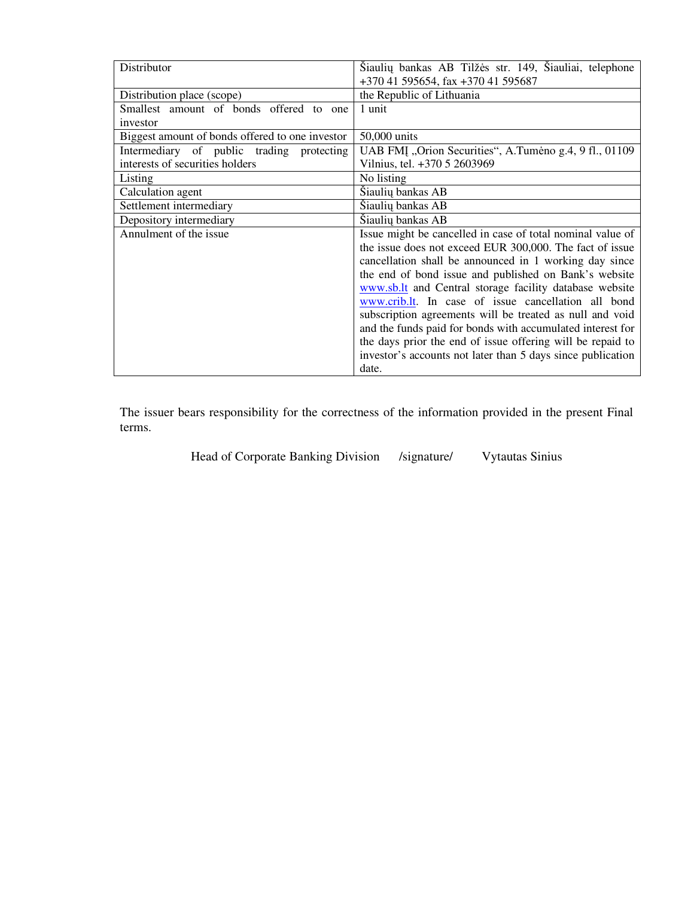| Distributor                                     | Šiaulių bankas AB Tilžės str. 149, Šiauliai, telephone      |  |
|-------------------------------------------------|-------------------------------------------------------------|--|
|                                                 | +370 41 595654, fax +370 41 595687                          |  |
| Distribution place (scope)                      | the Republic of Lithuania                                   |  |
| Smallest amount of bonds offered to one         | 1 unit                                                      |  |
| investor                                        |                                                             |  |
| Biggest amount of bonds offered to one investor | 50,000 units                                                |  |
| Intermediary of public trading protecting       | UAB FMI, Orion Securities", A.Tumeno g.4, 9 fl., 01109      |  |
| interests of securities holders                 | Vilnius, tel. +370 5 2603969                                |  |
| Listing                                         | No listing                                                  |  |
| Calculation agent                               | Šiaulių bankas AB                                           |  |
| Settlement intermediary                         | Šiaulių bankas AB                                           |  |
| Depository intermediary                         | Šiaulių bankas AB                                           |  |
| Annulment of the issue                          | Issue might be cancelled in case of total nominal value of  |  |
|                                                 | the issue does not exceed EUR 300,000. The fact of issue    |  |
|                                                 | cancellation shall be announced in 1 working day since      |  |
|                                                 | the end of bond issue and published on Bank's website       |  |
|                                                 | www.sb.lt and Central storage facility database website     |  |
|                                                 | www.crib.lt. In case of issue cancellation all bond         |  |
|                                                 | subscription agreements will be treated as null and void    |  |
|                                                 | and the funds paid for bonds with accumulated interest for  |  |
|                                                 | the days prior the end of issue offering will be repaid to  |  |
|                                                 | investor's accounts not later than 5 days since publication |  |
|                                                 | date.                                                       |  |

The issuer bears responsibility for the correctness of the information provided in the present Final terms.

Head of Corporate Banking Division /signature/ Vytautas Sinius